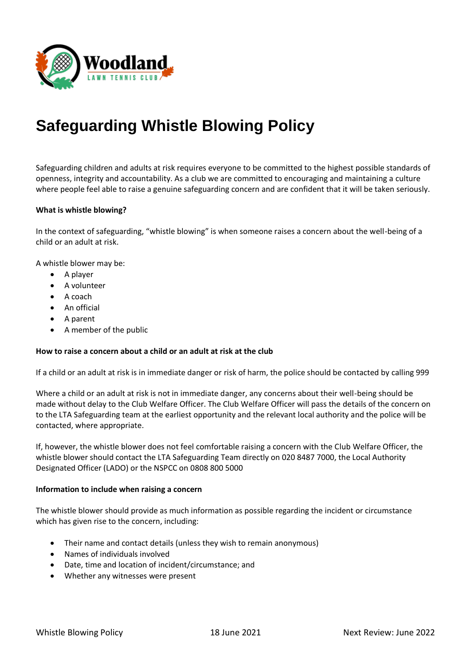

# **Safeguarding Whistle Blowing Policy**

Safeguarding children and adults at risk requires everyone to be committed to the highest possible standards of openness, integrity and accountability. As a club we are committed to encouraging and maintaining a culture where people feel able to raise a genuine safeguarding concern and are confident that it will be taken seriously.

### **What is whistle blowing?**

In the context of safeguarding, "whistle blowing" is when someone raises a concern about the well-being of a child or an adult at risk.

A whistle blower may be:

- A player
- A volunteer
- A coach
- An official
- A parent
- A member of the public

### **How to raise a concern about a child or an adult at risk at the club**

If a child or an adult at risk is in immediate danger or risk of harm, the police should be contacted by calling 999

Where a child or an adult at risk is not in immediate danger, any concerns about their well-being should be made without delay to the Club Welfare Officer. The Club Welfare Officer will pass the details of the concern on to the LTA Safeguarding team at the earliest opportunity and the relevant local authority and the police will be contacted, where appropriate.

If, however, the whistle blower does not feel comfortable raising a concern with the Club Welfare Officer, the whistle blower should contact the LTA Safeguarding Team directly on 020 8487 7000, the Local Authority Designated Officer (LADO) or the NSPCC on 0808 800 5000

### **Information to include when raising a concern**

The whistle blower should provide as much information as possible regarding the incident or circumstance which has given rise to the concern, including:

- Their name and contact details (unless they wish to remain anonymous)
- Names of individuals involved
- Date, time and location of incident/circumstance; and
- Whether any witnesses were present